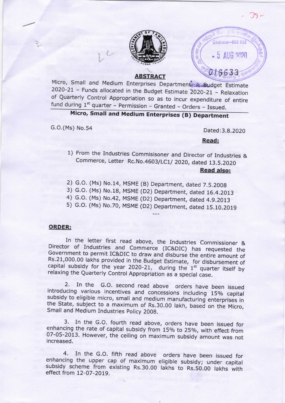

### **ABSTRACT**

fund during  $1<sup>st</sup>$  quarter – Permission – Granted – Orders – Issued. Micro, Small and Medium Enterprises Department Burdget Estimate 2020-21 -Funds allocated in the Budget Estimate 2020-21 - Relaxation of Quarterly Control Appropriation so as to incur expenditure of entire

## Micro, Small and Medium Enterprises (8) Department

G.O.(Ms) No.54

~\

Dated:3.8.2020

•'\_6633

*de dires au -*600 032

 $5$  AUG  $2020$ 

 $\overline{\phantom{a}}$ 

Read:

- 1) From the Industries Commisisoner and Director of Industries & Commerce, Letter Rc.No.4603/LC1/ 2020, dated 13.5.2020 Read also:
- 2) G.O. (Ms) No.14, Department, dated 7.5.2008
- 3) G.O. (Ms) No.18, Department, dated 16.4.2013
- 4) G.O. (Ms) No.42, Department, dated 4.9.2013
- 5) G.O. (Ms) No.70, Department, dated 15.10.2019

#### ORDER:

In the letter first read above, the Industries Commissioner & Director of Industries and Commerce (IC&DIC) has requested the Government to permit IC&DIC to draw and disburse the entire amount of Rs.21,000.00 lakhs provided in the Budget Estimate, for disbursement of capital subsidy for the year 2020-21, during the  $1<sup>st</sup>$  quarter itself by relaxing the Quarterly Control Appropriation as a special case.

2. In the G.O. second read above orders have been issued introducing various incentives and concessions including 15% capital subsidy to eligible micro, small and medium manufacturing enterprises in the State, subject to a maximum of Rs.30.00 lakh, based on the Micro, Small and Medium Industries Policy 2008.

07-05-201 3. However, the ceiling on maximum subsidy amount was not increased. 3. In the G.O. fourth read above, orders have been issued for enhancing the rate of capital subsidy from 15% to 25%, with effect from

4. In the G.O. fifth read above orders have been issued for enhancing the upper cap of maximum eligible subsidy; under capital subsidy scheme from existing Rs.30.00 Iakhs to Rs.50.00 lakhs with effect from 12-07-2019.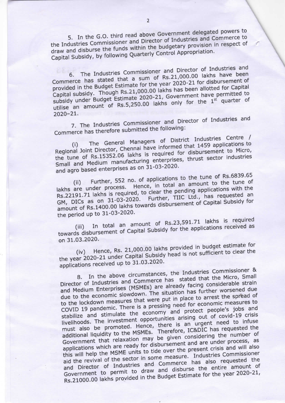5. In the G.O. third read above Government delegated powers to the Industries Commissioner and Director of Industries and Commerce to draw and disburse the funds within the budgetary provision in respect of Capital Subsidy, by following Quarterly Control Appropriation.

The Industries Commissioner and Director of Industries and Commerce has stated that a sum of Rs.21,000.00 lakhs have been provided in the Budget Estimate for the year 2020-21 for disbursement of Capital subsidy. Though Rs.21,000.00 lakhs has been allotted for Capital subsidy under Budget Estimate 2020-21, Government have permitted to utilise an amount of Rs.5,250.00 lakhs only for the 1<sup>st</sup> quarter of  $2020 - 21.$ 

7. The Industries Commissioner and Director of Industries and Commerce has therefore submitted the following:

The General Managers of District Industries Centre / Regional Joint Director, Chennai have informed that 1459 applications to the tune of Rs.15352.06 lakhs is required for disbursement to Micro, Small and Medium manufacturing enterprises, thrust sector industries and agro based enterprises as on 31-03-2020.

(ii) Further, 552 no. of applications to the tune of Rs.6839.65 lakhs are under process. Hence, in total an amount to the tune of Rs.22191.71 lakhs is required, to clear the pending applications with the GM, DICs as on 31-03-2020. Further, TIIC Ltd., has requested an amount of Rs.1400.00 lakhs towards disbursement of Capital Subsidy for the period up to 31-03-2020.

In total an amount of Rs.23,591.71 lakhs is required towards disbursement of Capital Subsidy for the applications received as on 31.03.2020.

Hence, Rs. 21,000.00 lakhs provided in budget estimate for the year 2020-21 under Capital Subsidy head is not sufficient to clear the applications received up to 31.03.2020.

8. In the above circumstances, the Industries Commissioner & Director of Industries and Commerce has stated that the Micro, Small and Medium Enterprises (MSMEs) are already facing considerable strain due to the economic slowdown. The situation has further worsened due to the lockdown measures that were put in place to arrest the spread of COVID 19 pandemic. There is a pressing need for economic measures to stabilize and stimulate the economy and protect people's jobs and livelihoods. The investment opportunities arising out of covid-19 crisis must also be promoted. Hence, there is an urgent need to infuse additional liquidity to the MSMEs. Therefore, IC&DIC has requested the Government that relaxation may be given considering the number of applications which are ready for disbursement and are under process, as this will help the MSME units to tide over the present crisis and will also aid the revival of the sector in some measure. Industries Commissioner and Director of Industries and Commerce has also requested the Government to permit to draw and disburse the entire amount of Rs.21000.00 lakhs provided in the Budget Estimate for the year 2020-21,